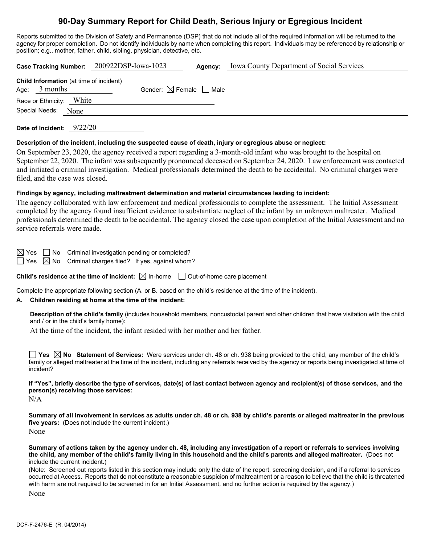# 90-Day Summary Report for Child Death, Serious Injury or Egregious Incident

Reports submitted to the Division of Safety and Permanence (DSP) that do not include all of the required information will be returned to the agency for proper completion. Do not identify individuals by name when completing this report. Individuals may be referenced by relationship or position; e.g., mother, father, child, sibling, physician, detective, etc.

| Case Tracking Number: 200922DSP-Iowa-1023 |                                                                   |       | Agency: | <b>Iowa County Department of Social Services</b> |  |  |  |
|-------------------------------------------|-------------------------------------------------------------------|-------|---------|--------------------------------------------------|--|--|--|
|                                           | <b>Child Information</b> (at time of incident)<br>Age: $3$ months |       |         | Gender: $\boxtimes$ Female $\Box$ Male           |  |  |  |
|                                           | Race or Ethnicity:                                                | White |         |                                                  |  |  |  |
|                                           | Special Needs:                                                    | None  |         |                                                  |  |  |  |
|                                           |                                                                   |       |         |                                                  |  |  |  |

Date of Incident: 9/22/20

#### Description of the incident, including the suspected cause of death, injury or egregious abuse or neglect:

On September 23, 2020, the agency received a report regarding a 3-month-old infant who was brought to the hospital on September 22, 2020. The infant was subsequently pronounced deceased on September 24, 2020. Law enforcement was contacted and initiated a criminal investigation. Medical professionals determined the death to be accidental. No criminal charges were filed, and the case was closed.

#### Findings by agency, including maltreatment determination and material circumstances leading to incident:

The agency collaborated with law enforcement and medical professionals to complete the assessment. The Initial Assessment completed by the agency found insufficient evidence to substantiate neglect of the infant by an unknown maltreater. Medical professionals determined the death to be accidental. The agency closed the case upon completion of the Initial Assessment and no service referrals were made.

No Criminal investigation pending or completed?  $\Box$  Yes  $\boxtimes$  No Criminal charges filed? If yes, against whom?

**Child's residence at the time of incident:**  $\boxtimes$  In-home  $\Box$  Out-of-home care placement

Complete the appropriate following section (A. or B. based on the child's residence at the time of the incident).

## A. Children residing at home at the time of the incident:

Description of the child's family (includes household members, noncustodial parent and other children that have visitation with the child and / or in the child's family home):

At the time of the incident, the infant resided with her mother and her father.

**Thes**  $\boxtimes$  **No** Statement of Services: Were services under ch. 48 or ch. 938 being provided to the child, any member of the child's family or alleged maltreater at the time of the incident, including any referrals received by the agency or reports being investigated at time of incident?

If "Yes", briefly describe the type of services, date(s) of last contact between agency and recipient(s) of those services, and the person(s) receiving those services:

 $N/A$ 

Summary of all involvement in services as adults under ch. 48 or ch. 938 by child's parents or alleged maltreater in the previous five years: (Does not include the current incident.) None

Summary of actions taken by the agency under ch. 48, including any investigation of a report or referrals to services involving the child, any member of the child's family living in this household and the child's parents and alleged maltreater. (Does not include the current incident.)

(Note: Screened out reports listed in this section may include only the date of the report, screening decision, and if a referral to services occurred at Access. Reports that do not constitute a reasonable suspicion of maltreatment or a reason to believe that the child is threatened with harm are not required to be screened in for an Initial Assessment, and no further action is required by the agency.)

None